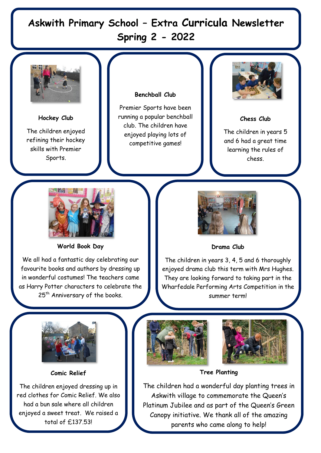# **Askwith Primary School – Extra Curricula Newsletter Spring 2 - 2022**



**Hockey Club** The children enjoyed refining their hockey skills with Premier Sports.

## **Benchball Club**

Premier Sports have been running a popular benchball club. The children have enjoyed playing lots of competitive games!



## **Chess Club**

The children in years 5 and 6 had a great time learning the rules of chess.



**World Book Day**

We all had a fantastic day celebrating our favourite books and authors by dressing up in wonderful costumes! The teachers came as Harry Potter characters to celebrate the 25<sup>th</sup> Anniversary of the books.



## **Drama Club**

The children in years 3, 4, 5 and 6 thoroughly enjoyed drama club this term with Mrs Hughes. They are looking forward to taking part in the Wharfedale Performing Arts Competition in the summer term!



**Comic Relief** 

The children enjoyed dressing up in red clothes for Comic Relief. We also had a bun sale where all children enjoyed a sweet treat. We raised a total of £137.53!





## **Tree Planting**

The children had a wonderful day planting trees in Askwith village to commemorate the Queen's Platinum Jubilee and as part of the Queen's Green Canopy initiative. We thank all of the amazing parents who came along to help!